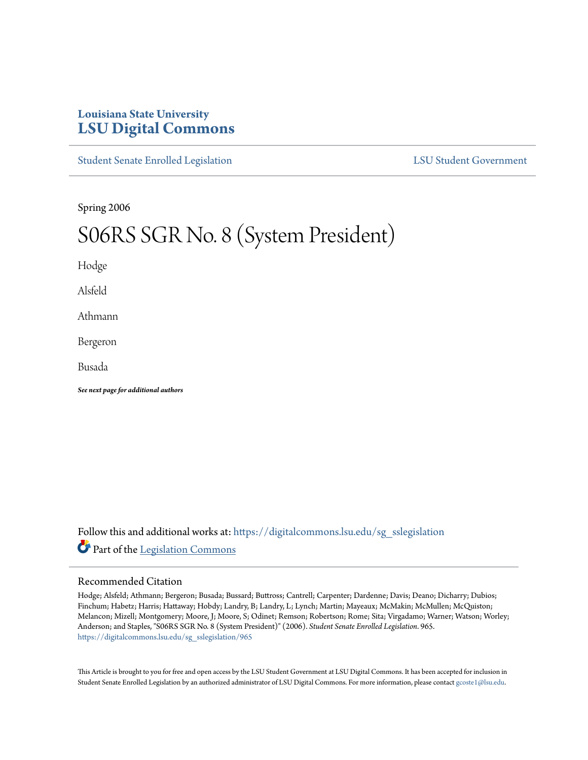# **Louisiana State University [LSU Digital Commons](https://digitalcommons.lsu.edu?utm_source=digitalcommons.lsu.edu%2Fsg_sslegislation%2F965&utm_medium=PDF&utm_campaign=PDFCoverPages)**

[Student Senate Enrolled Legislation](https://digitalcommons.lsu.edu/sg_sslegislation?utm_source=digitalcommons.lsu.edu%2Fsg_sslegislation%2F965&utm_medium=PDF&utm_campaign=PDFCoverPages) [LSU Student Government](https://digitalcommons.lsu.edu/sg?utm_source=digitalcommons.lsu.edu%2Fsg_sslegislation%2F965&utm_medium=PDF&utm_campaign=PDFCoverPages)

Spring 2006

# S06RS SGR No. 8 (System President)

Hodge

Alsfeld

Athmann

Bergeron

Busada

*See next page for additional authors*

Follow this and additional works at: [https://digitalcommons.lsu.edu/sg\\_sslegislation](https://digitalcommons.lsu.edu/sg_sslegislation?utm_source=digitalcommons.lsu.edu%2Fsg_sslegislation%2F965&utm_medium=PDF&utm_campaign=PDFCoverPages) Part of the [Legislation Commons](http://network.bepress.com/hgg/discipline/859?utm_source=digitalcommons.lsu.edu%2Fsg_sslegislation%2F965&utm_medium=PDF&utm_campaign=PDFCoverPages)

#### Recommended Citation

Hodge; Alsfeld; Athmann; Bergeron; Busada; Bussard; Buttross; Cantrell; Carpenter; Dardenne; Davis; Deano; Dicharry; Dubios; Finchum; Habetz; Harris; Hattaway; Hobdy; Landry, B; Landry, L; Lynch; Martin; Mayeaux; McMakin; McMullen; McQuiston; Melancon; Mizell; Montgomery; Moore, J; Moore, S; Odinet; Remson; Robertson; Rome; Sita; Virgadamo; Warner; Watson; Worley; Anderson; and Staples, "S06RS SGR No. 8 (System President)" (2006). *Student Senate Enrolled Legislation*. 965. [https://digitalcommons.lsu.edu/sg\\_sslegislation/965](https://digitalcommons.lsu.edu/sg_sslegislation/965?utm_source=digitalcommons.lsu.edu%2Fsg_sslegislation%2F965&utm_medium=PDF&utm_campaign=PDFCoverPages)

This Article is brought to you for free and open access by the LSU Student Government at LSU Digital Commons. It has been accepted for inclusion in Student Senate Enrolled Legislation by an authorized administrator of LSU Digital Commons. For more information, please contact [gcoste1@lsu.edu.](mailto:gcoste1@lsu.edu)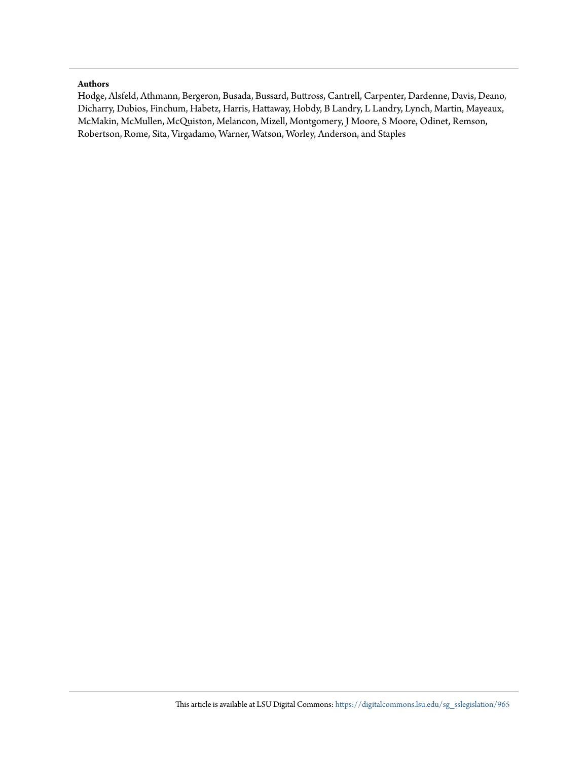#### **Authors**

Hodge, Alsfeld, Athmann, Bergeron, Busada, Bussard, Buttross, Cantrell, Carpenter, Dardenne, Davis, Deano, Dicharry, Dubios, Finchum, Habetz, Harris, Hattaway, Hobdy, B Landry, L Landry, Lynch, Martin, Mayeaux, McMakin, McMullen, McQuiston, Melancon, Mizell, Montgomery, J Moore, S Moore, Odinet, Remson, Robertson, Rome, Sita, Virgadamo, Warner, Watson, Worley, Anderson, and Staples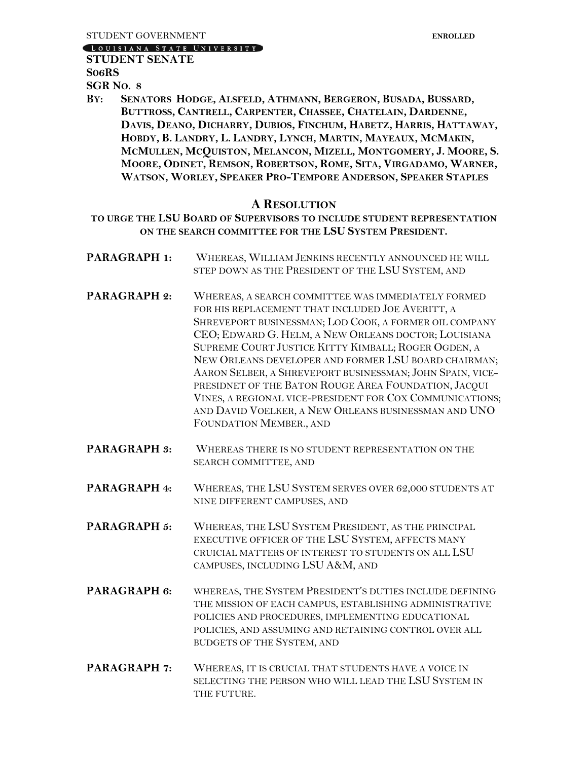LOUISIANA STATE UNIVERSITY

## **STUDENT SENATE**

**S06RS**

**SGR NO. 8**

BY: SENATORS HODGE, ALSFELD, ATHMANN, BERGERON, BUSADA, BUSSARD, **BUTTROSS, CANTRELL, CARPENTER, CHASSEE, CHATELAIN, DARDENNE,** DAVIS, DEANO, DICHARRY, DUBIOS, FINCHUM, HABETZ, HARRIS, HATTAWAY, HOBDY, B. LANDRY, L. LANDRY, LYNCH, MARTIN, MAYEAUX, MCMAKIN, MCMULLEN, MCQUISTON, MELANCON, MIZELL, MONTGOMERY, J. MOORE, S. MOORE, ODINET, REMSON, ROBERTSON, ROME, SITA, VIRGADAMO, WARNER, **WATSON, WORLEY, SPEAKER PRO-TEMPORE ANDERSON, SPEAKER STAPLES**

## **A RESOLUTION**

**TO URGE THE LSU BOARD OF SUPERVISORS TO INCLUDE STUDENT REPRESENTATION ON THE SEARCH COMMITTEE FOR THE LSU SYSTEM PRESIDENT.**

**PARAGRAPH 1:** WHEREAS, WILLIAM JENKINS RECENTLY ANNOUNCED HE WILL STEP DOWN AS THE PRESIDENT OF THE LSU SYSTEM, AND **PARAGRAPH 2:** WHEREAS, A SEARCH COMMITTEE WAS IMMEDIATELY FORMED FOR HIS REPLACEMENT THAT INCLUDED JOE AVERITT, A SHREVEPORT BUSINESSMAN; LOD COOK, A FORMER OIL COMPANY CEO; EDWARD G. HELM, A NEW ORLEANS DOCTOR; LOUISIANA SUPREME COURT JUSTICE KITTY KIMBALL; ROGER OGDEN, A

NEW ORLEANS DEVELOPER AND FORMER LSU BOARD CHAIRMAN; AARON SELBER, A SHREVEPORT BUSINESSMAN; JOHN SPAIN, VICE-PRESIDNET OF THE BATON ROUGE AREA FOUNDATION, JACQUI VINES, A REGIONAL VICE-PRESIDENT FOR COX COMMUNICATIONS; AND DAVID VOELKER, A NEW ORLEANS BUSINESSMAN AND UNO FOUNDATION MEMBER., AND

- **PARAGRAPH 3:** WHEREAS THERE IS NO STUDENT REPRESENTATION ON THE SEARCH COMMITTEE, AND
- **PARAGRAPH 4:** WHEREAS, THE LSU SYSTEM SERVES OVER 62,000 STUDENTS AT NINE DIFFERENT CAMPUSES, AND
- **PARAGRAPH 5:** WHEREAS, THE LSU SYSTEM PRESIDENT, AS THE PRINCIPAL EXECUTIVE OFFICER OF THE LSU SYSTEM, AFFECTS MANY CRUICIAL MATTERS OF INTEREST TO STUDENTS ON ALL LSU CAMPUSES, INCLUDING LSU A&M, AND
- **PARAGRAPH 6:** WHEREAS, THE SYSTEM PRESIDENT'S DUTIES INCLUDE DEFINING THE MISSION OF EACH CAMPUS, ESTABLISHING ADMINISTRATIVE POLICIES AND PROCEDURES, IMPLEMENTING EDUCATIONAL POLICIES, AND ASSUMING AND RETAINING CONTROL OVER ALL BUDGETS OF THE SYSTEM, AND
- **PARAGRAPH 7:** WHEREAS, IT IS CRUCIAL THAT STUDENTS HAVE A VOICE IN SELECTING THE PERSON WHO WILL LEAD THE LSU SYSTEM IN THE FUTURE.